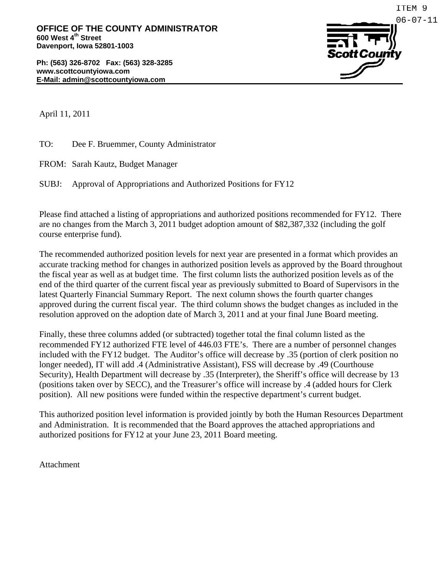

April 11, 2011

TO: Dee F. Bruemmer, County Administrator

FROM: Sarah Kautz, Budget Manager

SUBJ: Approval of Appropriations and Authorized Positions for FY12

Please find attached a listing of appropriations and authorized positions recommended for FY12. There are no changes from the March 3, 2011 budget adoption amount of \$82,387,332 (including the golf course enterprise fund).

The recommended authorized position levels for next year are presented in a format which provides an accurate tracking method for changes in authorized position levels as approved by the Board throughout the fiscal year as well as at budget time. The first column lists the authorized position levels as of the end of the third quarter of the current fiscal year as previously submitted to Board of Supervisors in the latest Quarterly Financial Summary Report. The next column shows the fourth quarter changes approved during the current fiscal year. The third column shows the budget changes as included in the resolution approved on the adoption date of March 3, 2011 and at your final June Board meeting.

Finally, these three columns added (or subtracted) together total the final column listed as the recommended FY12 authorized FTE level of 446.03 FTE's. There are a number of personnel changes included with the FY12 budget. The Auditor's office will decrease by .35 (portion of clerk position no longer needed), IT will add .4 (Administrative Assistant), FSS will decrease by .49 (Courthouse Security), Health Department will decrease by .35 (Interpreter), the Sheriff's office will decrease by 13 (positions taken over by SECC), and the Treasurer's office will increase by .4 (added hours for Clerk position). All new positions were funded within the respective department's current budget.

This authorized position level information is provided jointly by both the Human Resources Department and Administration. It is recommended that the Board approves the attached appropriations and authorized positions for FY12 at your June 23, 2011 Board meeting.

Attachment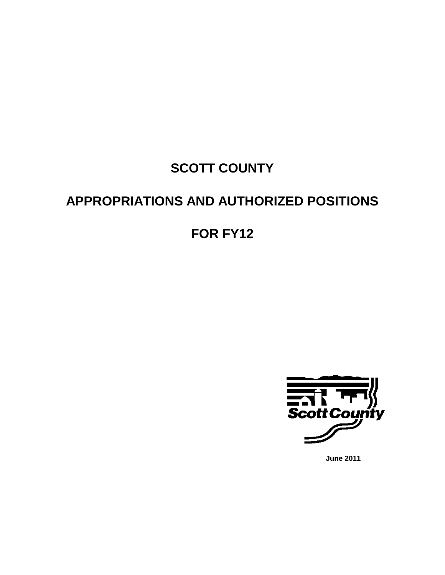# **SCOTT COUNTY**

## **APPROPRIATIONS AND AUTHORIZED POSITIONS**

## **FOR FY12**



**June 2011**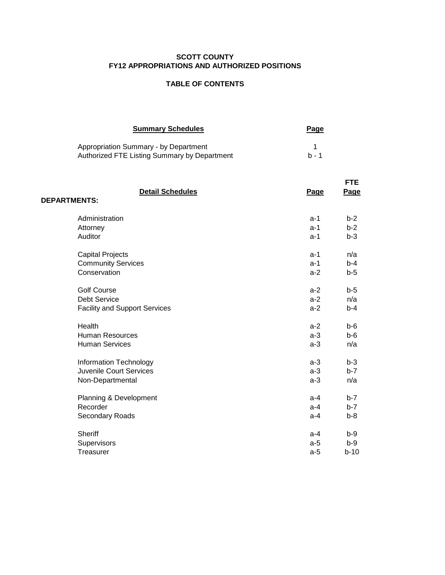### **SCOTT COUNTY FY12 APPROPRIATIONS AND AUTHORIZED POSITIONS**

### **TABLE OF CONTENTS**

| <b>Summary Schedules</b>                                                              | Page  |
|---------------------------------------------------------------------------------------|-------|
| Appropriation Summary - by Department<br>Authorized FTE Listing Summary by Department | h - 1 |

| <b>Detail Schedules</b><br><b>DEPARTMENTS:</b> | <b>Page</b> | <b>FTE</b><br><b>Page</b> |
|------------------------------------------------|-------------|---------------------------|
| Administration                                 | $a-1$       | $b-2$                     |
| Attorney                                       | $a-1$       | $b-2$                     |
| Auditor                                        | $a-1$       | $b-3$                     |
| <b>Capital Projects</b>                        | $a-1$       | n/a                       |
| <b>Community Services</b>                      | a-1         | $b-4$                     |
| Conservation                                   | $a-2$       | $b-5$                     |
| <b>Golf Course</b>                             | $a-2$       | $b-5$                     |
| <b>Debt Service</b>                            | $a-2$       | n/a                       |
| <b>Facility and Support Services</b>           | $a-2$       | $b-4$                     |
| Health                                         | $a-2$       | $b - 6$                   |
| <b>Human Resources</b>                         | $a-3$       | $b-6$                     |
| <b>Human Services</b>                          | $a-3$       | n/a                       |
| Information Technology                         | $a-3$       | $b-3$                     |
| Juvenile Court Services                        | $a-3$       | $b-7$                     |
| Non-Departmental                               | $a-3$       | n/a                       |
| Planning & Development                         | $a-4$       | $b-7$                     |
| Recorder                                       | $a-4$       | $b-7$                     |
| Secondary Roads                                | $a-4$       | $b-8$                     |
| <b>Sheriff</b>                                 | $a-4$       | $b-9$                     |
| Supervisors                                    | $a-5$       | $b-9$                     |
| Treasurer                                      | $a-5$       | $b-10$                    |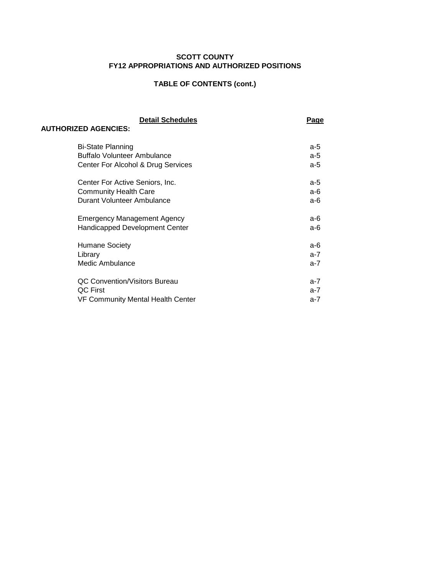### **SCOTT COUNTY FY12 APPROPRIATIONS AND AUTHORIZED POSITIONS**

## **TABLE OF CONTENTS (cont.)**

| <b>Detail Schedules</b><br><b>AUTHORIZED AGENCIES:</b> | <u>Page</u> |
|--------------------------------------------------------|-------------|
|                                                        |             |
| <b>Bi-State Planning</b>                               | a-5         |
| Buffalo Volunteer Ambulance                            | $a-5$       |
| Center For Alcohol & Drug Services                     | a-5         |
| Center For Active Seniors, Inc.                        | a-5         |
| <b>Community Health Care</b>                           | a-6         |
| Durant Volunteer Ambulance                             | a-6         |
|                                                        |             |
| <b>Emergency Management Agency</b>                     | а-6         |
| <b>Handicapped Development Center</b>                  | a-6         |
|                                                        |             |
| <b>Humane Society</b>                                  | a-6         |
| Library                                                | $a-7$       |
| Medic Ambulance                                        | $a-7$       |
|                                                        |             |
| <b>QC Convention/Visitors Bureau</b>                   | $a-7$       |
| QC First                                               | a-7         |
| <b>VF Community Mental Health Center</b>               | a-7         |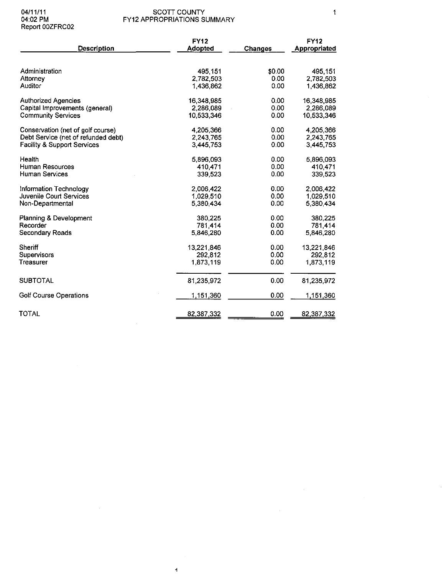| <b>Description</b>                     | <b>FY12</b><br><b>Adopted</b> | <b>Changes</b> | <b>FY12</b><br>Appropriated |
|----------------------------------------|-------------------------------|----------------|-----------------------------|
| Administration                         | 495.151                       | \$0.00         | 495.151                     |
| Attorney                               | 2,782,503                     | 0.00           | 2,782,503                   |
| Auditor                                | 1.436.862                     | 0.00           | 1,436,862                   |
| <b>Authorized Agencies</b>             | 16,348,985                    | 0.00           | 16,348,985                  |
| Capital Improvements (general)         | 2,286,089                     | 0.00           | 2.286,089                   |
| <b>Community Services</b>              | 10,533,346                    | 0.00           | 10,533,346                  |
| Conservation (net of golf course)      | 4,205,366                     | 0.00           | 4,205,366                   |
| Debt Service (net of refunded debt)    | 2,243,765                     | 0.00           | 2,243,765                   |
| <b>Facility &amp; Support Services</b> | 3,445,753                     | 0.00           | 3,445,753                   |
| Health                                 | 5,896,093                     | 0.00           | 5,896,093                   |
| <b>Human Resources</b>                 | 410,471                       | 0.00           | 410 471                     |
| <b>Human Services</b>                  | 339,523                       | 0.00           | 339,523                     |
| Information Technology                 | 2,006,422                     | 0.00           | 2,006,422                   |
| Juvenile Court Services                | 1,029,510                     | 0.00           | 1,029,510                   |
| Non-Departmental                       | 5,380,434                     | 0.00           | 5,380.434                   |
| Planning & Development                 | 380,225                       | 0.00           | 380,225                     |
| Recorder                               | 781 414                       | 0.00           | 781 414                     |
| Secondary Roads                        | 5,846,280                     | 0.00           | 5,846,280                   |
| Sheriff                                | 13.221.846                    | 0.00           | 13,221 846                  |
| <b>Supervisors</b>                     | 292,812                       | 0.00           | 292.812                     |
| Treasurer                              | 1,873,119                     | 0.00           | 1,873,119                   |
| <b>SUBTOTAL</b>                        | 81.235.972                    | 0.00           | 81,235,972                  |
| <b>Golf Course Operations</b>          | <u>1,151,360</u>              | 0.00           | 1,151,360                   |
| <b>TOTAL</b>                           | 82,387,332                    | 0.00           | 82,387,332                  |

 $\sim$ 

 $\overline{4}$ 

 $\mathcal{F}^{\text{max}}_{\text{max}}$ 

 $\sim 10$ 

 $\hat{\mathcal{A}}$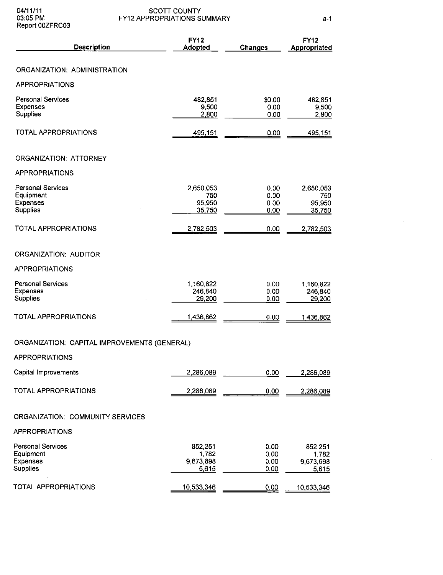04/11/11<br>03:05 PM<br>Report 00ZFRC03

 $\bar{z}$ 

 $\hat{\mathcal{L}}$ 

| <b>Description</b>                                                          | <b>FY12</b><br><b>Adopted</b>          | <b>Changes</b>               | <b>FY12</b><br>Appropriated            |
|-----------------------------------------------------------------------------|----------------------------------------|------------------------------|----------------------------------------|
| ORGANIZATION: ADMINISTRATION                                                |                                        |                              |                                        |
| <b>APPROPRIATIONS</b>                                                       |                                        |                              |                                        |
| Personal Services<br><b>Expenses</b><br><b>Supplies</b>                     | 482,851<br>9,500<br>2,800              | \$0.00<br>0.00<br>0.00       | 482,851<br>9.500<br>2,800              |
| <b>TOTAL APPROPRIATIONS</b>                                                 | 495,151                                | 0.00                         | 495,151                                |
| ORGANIZATION: ATTORNEY                                                      |                                        |                              |                                        |
| <b>APPROPRIATIONS</b>                                                       |                                        |                              |                                        |
| <b>Personal Services</b><br>Equipment<br><b>Expenses</b><br><b>Supplies</b> | 2,650,053<br>750<br>95,950<br>35,750   | 0.00<br>0.00<br>0.00<br>0.00 | 2,650,053<br>750<br>95,950<br>35,750   |
| TOTAL APPROPRIATIONS                                                        | 2,782,503                              | 0.00                         | 2,782,503                              |
| ORGANIZATION: AUDITOR                                                       |                                        |                              |                                        |
| <b>APPROPRIATIONS</b>                                                       |                                        |                              |                                        |
| <b>Personal Services</b><br><b>Expenses</b><br><b>Supplies</b>              | 1,160,822<br>246,840<br>29,200         | 0.00<br>0.00<br>0.00         | 1,160,822<br>246,840<br>29,200         |
| <b>TOTAL APPROPRIATIONS</b>                                                 | 1,436,862                              | 0.00                         | 1,436,862                              |
| ORGANIZATION: CAPITAL IMPROVEMENTS (GENERAL)                                |                                        |                              |                                        |
| <b>APPROPRIATIONS</b>                                                       |                                        |                              |                                        |
| Capital Improvements                                                        | 2,286,089                              | 0.00                         | 2,286,089                              |
| TOTAL APPROPRIATIONS                                                        | 2,286,089                              | 0.00                         | 2,286,089                              |
| ORGANIZATION: COMMUNITY SERVICES                                            |                                        |                              |                                        |
| <b>APPROPRIATIONS</b>                                                       |                                        |                              |                                        |
| <b>Personal Services</b><br>Equipment<br><b>Expenses</b><br>Supplies        | 852,251<br>1,782<br>9,673,698<br>5,615 | 0.00<br>0.00<br>0.00<br>0.00 | 852,251<br>1,782<br>9,673,698<br>5,615 |
| TOTAL APPROPRIATIONS                                                        | 10,533,346                             | 0.00                         | 10,533,346                             |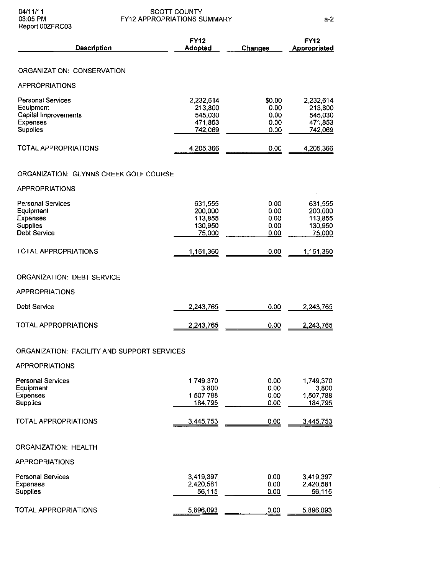| <b>Description</b>                                                                                  | Adopted                                               | <b>Changes</b>                         | Appropriated                                          |
|-----------------------------------------------------------------------------------------------------|-------------------------------------------------------|----------------------------------------|-------------------------------------------------------|
| ORGANIZATION: CONSERVATION                                                                          |                                                       |                                        |                                                       |
| <b>APPROPRIATIONS</b>                                                                               |                                                       |                                        |                                                       |
| <b>Personal Services</b><br>Equipment<br><b>Capital Improvements</b><br><b>Expenses</b><br>Supplies | 2,232,614<br>213,800<br>545,030<br>471,853<br>742,069 | \$0.00<br>0.00<br>0.00<br>0.00<br>0.00 | 2,232,614<br>213,800<br>545,030<br>471,853<br>742,069 |
| <b>TOTAL APPROPRIATIONS</b>                                                                         | 4,205,366                                             | 0.00                                   | 4,205,366                                             |
| ORGANIZATION: GLYNNS CREEK GOLF COURSE                                                              |                                                       |                                        |                                                       |
| <b>APPROPRIATIONS</b>                                                                               |                                                       |                                        |                                                       |
| <b>Personal Services</b><br>Equipment<br>Expenses<br><b>Supplies</b><br>Debt Service                | 631,555<br>200,000<br>113,855<br>130,950<br>75,000    | 0.00<br>0.00<br>0.00<br>0.00<br>0.00   | 631.555<br>200,000<br>113,855<br>130,950<br>75,000    |
| TOTAL APPROPRIATIONS                                                                                | 1,151,360                                             | 0.00                                   | 1,151,360                                             |
| <b>ORGANIZATION: DEBT SERVICE</b><br><b>APPROPRIATIONS</b>                                          |                                                       |                                        |                                                       |
| Debt Service                                                                                        | 2,243,765                                             | 0.00                                   | 2,243,765                                             |
| <b>TOTAL APPROPRIATIONS</b>                                                                         | 2,243,765                                             | 0.00                                   | 2,243,765                                             |

#### ORGANIZATION: FACILITY AND SUPPORT SERVICES

APPROPRIATIONS

| <b>Personal Services</b><br>Equipment<br>Expenses<br><b>Supplies</b> | 1,749,370<br>3,800<br>1,507,788<br>184,795 | 0.00<br>0.00<br>0.00<br>0.00 | 1.749.370<br>3.800<br>1,507,788<br>184 795 |
|----------------------------------------------------------------------|--------------------------------------------|------------------------------|--------------------------------------------|
| TOTAL APPROPRIATIONS                                                 | 3,445,753                                  | 0.00                         | 3,445,753                                  |
| <b>ORGANIZATION: HEALTH</b>                                          |                                            |                              |                                            |
| <b>APPROPRIATIONS</b>                                                |                                            |                              |                                            |
| <b>Personal Services</b><br><b>Expenses</b><br><b>Supplies</b>       | 3,419,397<br>2,420,581<br>56 115           | 0.00<br>0.00<br>0.00         | 3,419,397<br>2,420,581<br>56,115           |
| <b>TOTAL APPROPRIATIONS</b>                                          | 5,896,093                                  | 0.00                         | 5896.093                                   |

FY12 FY12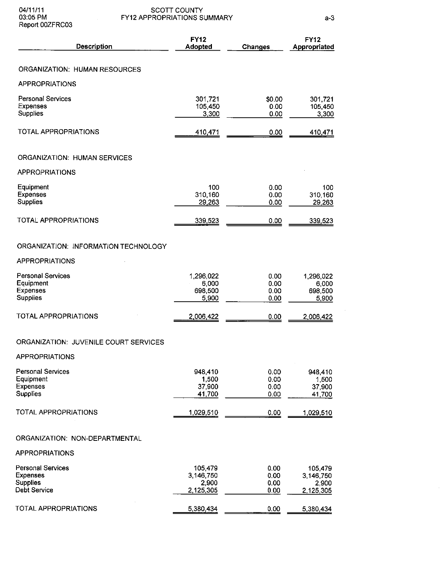| Description                                                                    | <b>FY12</b><br><b>Adopted</b>              | <b>Changes</b>               | <b>FY12</b><br>Appropriated                |
|--------------------------------------------------------------------------------|--------------------------------------------|------------------------------|--------------------------------------------|
| ORGANIZATION: HUMAN RESOURCES                                                  |                                            |                              |                                            |
| <b>APPROPRIATIONS</b>                                                          |                                            |                              |                                            |
| <b>Personal Services</b><br>Expenses<br>Supplies                               | 301,721<br>105,450<br>3,300                | \$0.00<br>0.00<br>0.00       | 301,721<br>105,450<br>3,300                |
| TOTAL APPROPRIATIONS                                                           | 410,471                                    | 0.00                         | 410,471                                    |
| ORGANIZATION: HUMAN SERVICES                                                   |                                            |                              |                                            |
| <b>APPROPRIATIONS</b>                                                          |                                            |                              |                                            |
| Equipment<br>Expenses<br><b>Supplies</b>                                       | 100<br>310,160<br>29,263                   | 0.00<br>0.00<br>0.00         | 100<br>310.160<br>29,263                   |
| <b>TOTAL APPROPRIATIONS</b>                                                    | 339,523                                    | 0.00                         | 339,523                                    |
| ORGANIZATION: INFORMATION TECHNOLOGY                                           |                                            |                              |                                            |
| <b>APPROPRIATIONS</b>                                                          |                                            |                              |                                            |
| <b>Personal Services</b><br>Equipment<br><b>Expenses</b><br><b>Supplies</b>    | 1,296,022<br>6,000<br>698,500<br>5,900     | 0.00<br>0.00<br>0.00<br>0.00 | 1,296,022<br>6 000<br>698 500<br>5,900     |
| <b>TOTAL APPROPRIATIONS</b>                                                    | 2,006,422                                  | 0.00                         | 2,006,422                                  |
| ORGANIZATION: JUVENILE COURT SERVICES<br>APPROPRIATIONS                        |                                            |                              |                                            |
| <b>Personal Services</b><br>Equipment<br><b>Expenses</b><br>Supplies           | 948,410<br>1,500<br>37,900<br>41,700       | 0.00<br>0.00<br>0.00<br>0.00 | 948,410<br>1,500<br>37.900<br>41,700       |
| TOTAL APPROPRIATIONS                                                           | 1,029,510                                  | 0.00                         | 1,029,510                                  |
| ORGANIZATION: NON-DEPARTMENTAL                                                 |                                            |                              |                                            |
| APPROPRIATIONS                                                                 |                                            |                              |                                            |
| <b>Personal Services</b><br><b>Expenses</b><br><b>Supplies</b><br>Debt Service | 105,479<br>3,146,750<br>2,900<br>2,125,305 | 0.00<br>0.00<br>0.00<br>0.00 | 105,479<br>3 146,750<br>2,900<br>2.125.305 |
| TOTAL APPROPRIATIONS                                                           | 5,380,434                                  | 0.00                         | 5,380,434                                  |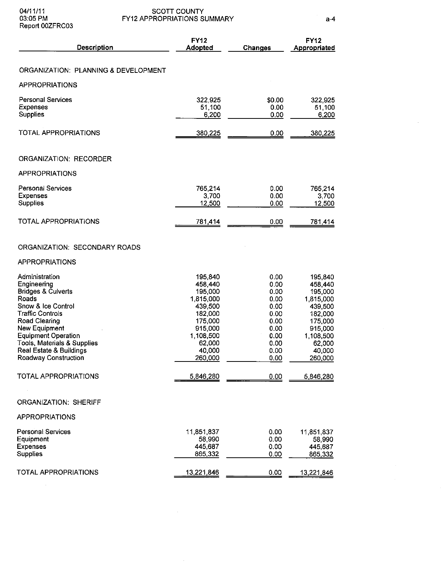$\bar{z}$ 

 $\sim$ 

| Description                                     | <b>FY12</b><br><b>Adopted</b> | Changes      | <b>FY12</b><br>Appropriated |
|-------------------------------------------------|-------------------------------|--------------|-----------------------------|
| ORGANIZATION: PLANNING & DEVELOPMENT            |                               |              |                             |
| <b>APPROPRIATIONS</b>                           |                               |              |                             |
|                                                 |                               |              |                             |
| <b>Personal Services</b>                        | 322,925                       | \$0.00       | 322,925                     |
| Expenses                                        | 51,100                        | 0.00         | 51,100                      |
| <b>Supplies</b>                                 | 6,200                         | 0.00         | 6,200                       |
| <b>TOTAL APPROPRIATIONS</b>                     | 380,225                       | 0.00         | 380,225                     |
| ORGANIZATION: RECORDER                          |                               |              |                             |
| <b>APPROPRIATIONS</b>                           |                               |              |                             |
| Personal Services                               | 765,214                       | 0.00         | 765,214                     |
| <b>Expenses</b>                                 | 3,700                         | 0.00         | 3,700                       |
| <b>Supplies</b>                                 | 12,500                        | 0.00         | 12,500                      |
| <b>TOTAL APPROPRIATIONS</b>                     | 781,414                       | 0.00         | 781,414                     |
| ORGANIZATION: SECONDARY ROADS                   |                               |              |                             |
| <b>APPROPRIATIONS</b>                           |                               |              |                             |
| Administration                                  | 195,840                       | 0.00         | 195,840                     |
| Engineering                                     | 458,440                       | 0.00         | 458,440                     |
| <b>Bridges &amp; Culverts</b>                   | 195,000                       | 0.00         | 195,000                     |
| <b>Roads</b><br>Snow & Ice Control              | 1,815,000<br>439,500          | 0.00<br>0.00 | 1,815,000<br>439,500        |
| <b>Traffic Controls</b>                         | 182,000                       | 0.00         | 182,000                     |
| Road Clearing                                   | 175,000                       | 0.00         | 175,000                     |
| New Equipment                                   | 915,000                       | 0.00         | 915,000                     |
| <b>Equipment Operation</b>                      | 1,108,500                     | 0.00         | 1,108,500                   |
| Tools, Materials & Supplies                     | 62,000                        | 0.00         | 62,000                      |
| Real Estate & Buildings<br>Roadway Construction | 40,000<br>260,000             | 0.00<br>0.00 | 40,000<br>260,000           |
|                                                 |                               |              |                             |
| <b>TOTAL APPROPRIATIONS</b>                     | 5,846,280                     | 0.00         | 5,846,280                   |
| <b>ORGANIZATION: SHERIFF</b>                    |                               |              |                             |
| APPROPRIATIONS                                  |                               |              |                             |
| <b>Personal Services</b>                        | 11,851,837                    | 0.00         | 11,851,837                  |
| Equipment                                       | 58,990                        | 0.00         | 58,990                      |
| <b>Expenses</b>                                 | 445,687                       | 0.00         | 445,687                     |
| Supplies                                        | 865,332                       | 0.00         | 865,332                     |
| TOTAL APPROPRIATIONS                            | 13,221,846                    | 0.00         | 13,221,846                  |

 $\sim$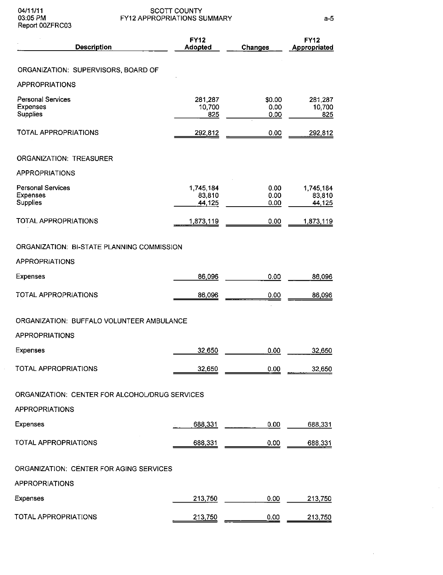| <b>Description</b>                                             | <b>FY12</b><br>Adopted        | <b>Changes</b>         | <b>FY12</b><br>Appropriated   |
|----------------------------------------------------------------|-------------------------------|------------------------|-------------------------------|
| ORGANIZATION: SUPERVISORS, BOARD OF                            |                               |                        |                               |
| <b>APPROPRIATIONS</b>                                          |                               |                        |                               |
| <b>Personal Services</b><br>Expenses<br>Supplies               | 281,287<br>10,700<br>825      | \$0.00<br>0.00<br>0.00 | 281,287<br>10,700<br>825      |
| <b>TOTAL APPROPRIATIONS</b>                                    | 292,812                       | 0.00                   | 292 812                       |
| <b>ORGANIZATION: TREASURER</b>                                 |                               |                        |                               |
| APPROPRIATIONS                                                 |                               |                        |                               |
| <b>Personal Services</b><br><b>Expenses</b><br><b>Supplies</b> | 1,745,184<br>83,810<br>44,125 | 0.00<br>0.00<br>0.00   | 1,745,184<br>83 810<br>44,125 |
| <b>TOTAL APPROPRIATIONS</b>                                    | 1,873,119                     | 0.00                   | 1,873,119                     |
| ORGANIZATION: BI-STATE PLANNING COMMISSION                     |                               |                        |                               |
| <b>APPROPRIATIONS</b>                                          |                               |                        |                               |
| Expenses                                                       | 86,096                        | 0.00                   | 86,096                        |
| TOTAL APPROPRIATIONS                                           | 86,096                        | 0.00                   | 86,096                        |
| ORGANIZATION: BUFFALO VOLUNTEER AMBULANCE                      |                               |                        |                               |
| <b>APPROPRIATIONS</b>                                          |                               |                        |                               |
| Expenses                                                       | 32,650                        | 0.00                   | 32,650                        |
| TOTAL APPROPRIATIONS                                           | 32,650                        | 0.00                   | 32,650                        |
| ORGANIZATION: CENTER FOR ALCOHOL/DRUG SERVICES                 |                               |                        |                               |
| <b>APPROPRIATIONS</b>                                          |                               |                        |                               |
| Expenses                                                       | 688,331                       | 0.00                   | 688,331                       |
| <b>TOTAL APPROPRIATIONS</b>                                    | 688,331                       | 0.00                   | 688 331                       |
| ORGANIZATION: CENTER FOR AGING SERVICES                        |                               |                        |                               |
| APPROPRIATIONS                                                 |                               |                        |                               |
| Expenses                                                       | 213,750                       | 0.00                   | 213,750                       |
| TOTAL APPROPRIATIONS                                           | 213,750                       | 0.00                   | 213,750                       |

 $\mathcal{L}^{\mathcal{A}}$ 

 $\alpha$  .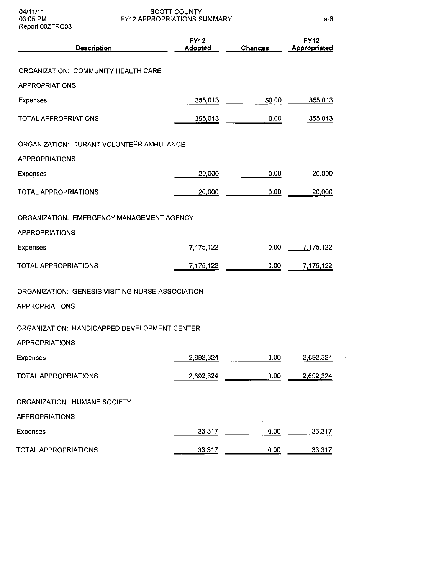04/11/11 03:05 PM Report 00ZFRC03

SCOTT COUNTY FY12 APPROPRIATIONS SUMMARY

a-6

 $\bar{\mathbf{z}}$ 

| <b>Description</b>                                                 | <b>FY12</b><br>Adopted | Changes | <b>FY12</b><br>Appropriated |
|--------------------------------------------------------------------|------------------------|---------|-----------------------------|
| ORGANIZATION: COMMUNITY HEALTH CARE                                |                        |         |                             |
| <b>APPROPRIATIONS</b>                                              |                        |         |                             |
| <b>Expenses</b>                                                    | 355,013                | \$0.00  | 355,013                     |
| TOTAL APPROPRIATIONS                                               | 355,013                | 0.00    | 355,013                     |
| ORGANIZATION: DURANT VOLUNTEER AMBULANCE                           |                        |         |                             |
| <b>APPROPRIATIONS</b>                                              |                        |         |                             |
| Expenses                                                           | 20,000                 | 0.00    | 20,000                      |
| <b>TOTAL APPROPRIATIONS</b>                                        | 20,000                 | 0.00    | 20,000                      |
| ORGANIZATION: EMERGENCY MANAGEMENT AGENCY                          |                        |         |                             |
| <b>APPROPRIATIONS</b>                                              |                        |         |                             |
| <b>Expenses</b>                                                    | 7,175,122              | 0.00    | 7,175,122                   |
| TOTAL APPROPRIATIONS                                               | 7,175,122              | 0.00    | 7,175,122                   |
| ORGANIZATION: GENESIS VISITING NURSE ASSOCIATION<br>APPROPRIATIONS |                        |         |                             |
| ORGANIZATION: HANDICAPPED DEVELOPMENT CENTER                       |                        |         |                             |
| <b>APPROPRIATIONS</b>                                              |                        |         |                             |
| <b>Expenses</b>                                                    | 2,692,324              | 0.00    | 2,692,324                   |
| TOTAL APPROPRIATIONS                                               | 2,692,324              | 0.00    | 2,692,324                   |
| ORGANIZATION: HUMANE SOCIETY                                       |                        |         |                             |
| APPROPRIATIONS                                                     |                        |         |                             |
| <b>Expenses</b>                                                    | 33,317                 | 0.00    | 33,317                      |
| TOTAL APPROPRIATIONS                                               | 33,317                 | 0.00    | 33,317                      |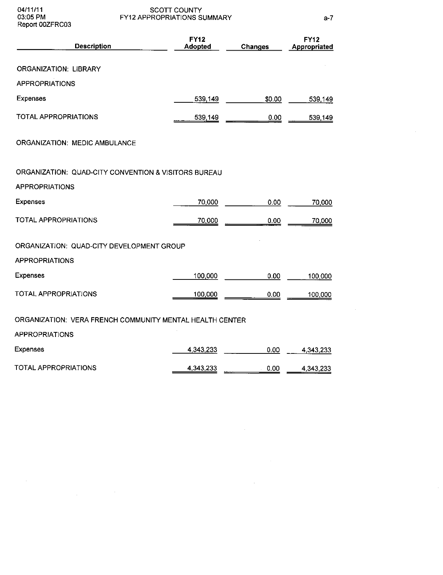Report 00ZFRC03

04/11/11 SCOTT COUNTY 03:05 PM FY12 APPROPRIATIONS SUMMARY

a-7

 $\mathcal{A}^{\pm}$ 

| <b>Description</b>                                       | <b>FY12</b><br><b>Adopted</b> | <b>Changes</b> | <b>FY12</b><br>Appropriated |
|----------------------------------------------------------|-------------------------------|----------------|-----------------------------|
| ORGANIZATION: LIBRARY                                    |                               |                |                             |
| <b>APPROPRIATIONS</b>                                    |                               |                |                             |
| <b>Expenses</b>                                          | 539,149                       | \$0.00         | 539,149                     |
| TOTAL APPROPRIATIONS                                     | 539,149                       | 0.00           | 539.149                     |
| ORGANIZATION: MEDIC AMBULANCE                            |                               |                |                             |
| ORGANIZATION: QUAD-CITY CONVENTION & VISITORS BUREAU     |                               |                |                             |
| <b>APPROPRIATIONS</b>                                    |                               |                |                             |
| <b>Expenses</b>                                          | 70,000                        | 0.00           | 70,000                      |
| <b>TOTAL APPROPRIATIONS</b>                              | 70,000                        | 0.00           | 70,000                      |
| ORGANIZATION: QUAD-CITY DEVELOPMENT GROUP                |                               |                |                             |
| <b>APPROPRIATIONS</b>                                    |                               |                |                             |
| <b>Expenses</b>                                          | 100,000                       | 0.00           | 100,000                     |
| <b>TOTAL APPROPRIATIONS</b>                              | 100,000                       | 0.00           | 100,000                     |
| ORGANIZATION: VERA FRENCH COMMUNITY MENTAL HEALTH CENTER |                               |                |                             |
| <b>APPROPRIATIONS</b>                                    |                               |                |                             |
| <b>Expenses</b>                                          | 4,343,233                     | 0.00           | 4.343,233                   |
| <b>TOTAL APPROPRIATIONS</b>                              | 4,343,233                     | 0.00           | 4,343,233                   |

 $\label{eq:2.1} \frac{1}{\sqrt{2\pi}}\int_{\mathbb{R}^3}\frac{1}{\sqrt{2\pi}}\left(\frac{1}{\sqrt{2\pi}}\right)^2\frac{1}{\sqrt{2\pi}}\int_{\mathbb{R}^3}\frac{1}{\sqrt{2\pi}}\frac{1}{\sqrt{2\pi}}\frac{1}{\sqrt{2\pi}}\frac{1}{\sqrt{2\pi}}\frac{1}{\sqrt{2\pi}}\frac{1}{\sqrt{2\pi}}\frac{1}{\sqrt{2\pi}}\frac{1}{\sqrt{2\pi}}\frac{1}{\sqrt{2\pi}}\frac{1}{\sqrt{2\pi}}\frac{1}{\sqrt{2\pi}}\frac{$ 

 $\sim 10^{-1}$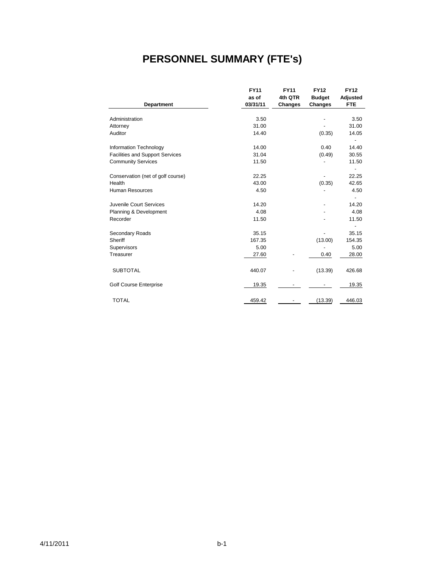## **PERSONNEL SUMMARY (FTE's)**

|                                        | <b>FY11</b> | <b>FY11</b> | <b>FY12</b>   | <b>FY12</b>              |
|----------------------------------------|-------------|-------------|---------------|--------------------------|
|                                        | as of       | 4th QTR     | <b>Budget</b> | Adjusted                 |
| Department                             | 03/31/11    | Changes     | Changes       | <b>FTE</b>               |
|                                        |             |             |               |                          |
| Administration                         | 3.50        |             |               | 3.50                     |
| Attorney                               | 31.00       |             |               | 31.00                    |
| Auditor                                | 14.40       |             | (0.35)        | 14.05                    |
|                                        |             |             |               |                          |
| Information Technology                 | 14.00       |             | 0.40          | 14.40                    |
| <b>Facilities and Support Services</b> | 31.04       |             | (0.49)        | 30.55                    |
| <b>Community Services</b>              | 11.50       |             |               | 11.50                    |
|                                        |             |             |               | $\overline{\phantom{a}}$ |
| Conservation (net of golf course)      | 22.25       |             |               | 22.25                    |
| Health                                 | 43.00       |             | (0.35)        | 42.65                    |
| <b>Human Resources</b>                 | 4.50        |             |               | 4.50                     |
|                                        |             |             |               |                          |
| Juvenile Court Services                | 14.20       |             |               | 14.20                    |
| Planning & Development                 | 4.08        |             |               | 4.08                     |
| Recorder                               | 11.50       |             |               | 11.50                    |
|                                        |             |             |               |                          |
| Secondary Roads                        | 35.15       |             |               | 35.15                    |
| Sheriff                                | 167.35      |             | (13.00)       | 154.35                   |
| Supervisors                            | 5.00        |             |               | 5.00                     |
| Treasurer                              | 27.60       |             | 0.40          | 28.00                    |
|                                        |             |             |               |                          |
| <b>SUBTOTAL</b>                        | 440.07      |             | (13.39)       | 426.68                   |
|                                        |             |             |               |                          |
| <b>Golf Course Enterprise</b>          | 19.35       |             |               | 19.35                    |
|                                        |             |             |               |                          |
|                                        |             |             |               |                          |
| <b>TOTAL</b>                           | 459.42      |             | (13.39)       | 446.03                   |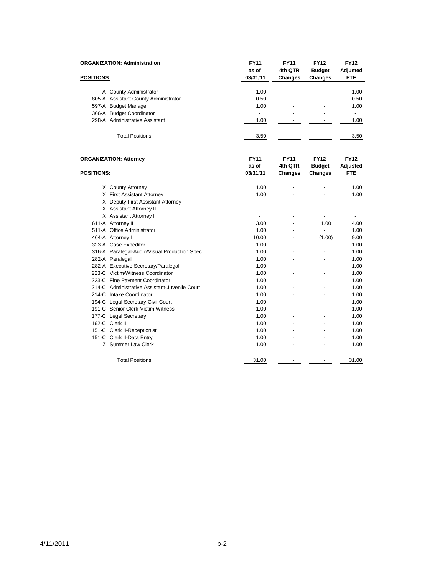|                   | <b>ORGANIZATION: Administration</b>           | <b>FY11</b><br>as of | <b>FY11</b><br>4th QTR | <b>FY12</b><br><b>Budget</b> | <b>FY12</b><br><b>Adjusted</b> |
|-------------------|-----------------------------------------------|----------------------|------------------------|------------------------------|--------------------------------|
| <b>POSITIONS:</b> |                                               | 03/31/11             | Changes                | <b>Changes</b>               | <b>FTE</b>                     |
|                   | A County Administrator                        | 1.00                 |                        |                              | 1.00                           |
|                   | 805-A Assistant County Administrator          | 0.50                 |                        |                              | 0.50                           |
|                   | 597-A Budget Manager                          | 1.00                 |                        |                              | 1.00                           |
|                   | 366-A Budget Coordinator                      | $\overline{a}$       |                        |                              | $\overline{a}$                 |
|                   | 298-A Administrative Assistant                | 1.00                 |                        |                              | 1.00                           |
|                   | <b>Total Positions</b>                        | 3.50                 |                        |                              | 3.50                           |
|                   | <b>ORGANIZATION: Attorney</b>                 | <b>FY11</b><br>as of | <b>FY11</b><br>4th QTR | <b>FY12</b><br><b>Budget</b> | <b>FY12</b><br>Adjusted        |
| <b>POSITIONS:</b> |                                               | 03/31/11             | <b>Changes</b>         | <b>Changes</b>               | FTE                            |
|                   | X County Attorney                             | 1.00                 |                        |                              | 1.00                           |
|                   | X First Assistant Attorney                    | 1.00                 |                        |                              | 1.00                           |
|                   | X Deputy First Assistant Attorney             | $\overline{a}$       |                        |                              | $\overline{a}$                 |
|                   | X Assistant Attorney II                       |                      |                        |                              |                                |
|                   | X Assistant Attorney I                        | $\overline{a}$       |                        | $\overline{\phantom{a}}$     | $\overline{a}$                 |
|                   | 611-A Attorney II                             | 3.00                 |                        | 1.00                         | 4.00                           |
|                   | 511-A Office Administrator                    | 1.00                 |                        | $\overline{a}$               | 1.00                           |
|                   | 464-A Attorney I                              | 10.00                |                        | (1.00)                       | 9.00                           |
|                   | 323-A Case Expeditor                          | 1.00                 |                        | $\overline{\phantom{a}}$     | 1.00                           |
|                   | 316-A Paralegal-Audio/Visual Production Spec  | 1.00                 |                        |                              | 1.00                           |
|                   | 282-A Paralegal                               | 1.00                 |                        |                              | 1.00                           |
|                   | 282-A Executive Secretary/Paralegal           | 1.00                 |                        |                              | 1.00                           |
|                   | 223-C Victim/Witness Coordinator              | 1.00                 |                        |                              | 1.00                           |
|                   | 223-C Fine Payment Coordinator                | 1.00                 |                        |                              | 1.00                           |
|                   | 214-C Administrative Assistant-Juvenile Court | 1.00                 |                        |                              | 1.00                           |
|                   | 214-C Intake Coordinator                      | 1.00                 |                        |                              | 1.00                           |
|                   | 194-C Legal Secretary-Civil Court             | 1.00                 |                        |                              | 1.00                           |
|                   | 191-C Senior Clerk-Victim Witness             | 1.00                 |                        |                              | 1.00                           |
|                   | 177-C Legal Secretary                         | 1.00                 |                        |                              | 1.00                           |
|                   | 162-C Clerk III                               | 1.00                 |                        |                              | 1.00                           |
|                   | 151-C Clerk II-Receptionist                   | 1.00                 |                        |                              | 1.00                           |
|                   | 151-C Clerk II-Data Entry                     | 1.00                 |                        |                              | 1.00                           |
|                   | Z Summer Law Clerk                            | 1.00                 |                        |                              | 1.00                           |
|                   | <b>Total Positions</b>                        | 31.00                |                        |                              | 31.00                          |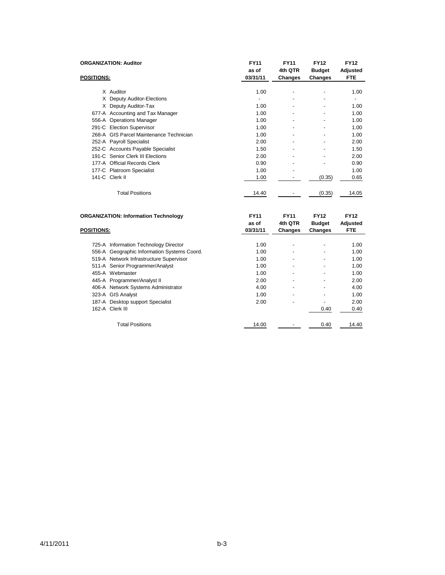|                   | <b>ORGANIZATION: Auditor</b>                | <b>FY11</b><br>as of | <b>FY11</b><br>4th QTR | <b>FY12</b><br><b>Budget</b> | <b>FY12</b><br>Adjusted |
|-------------------|---------------------------------------------|----------------------|------------------------|------------------------------|-------------------------|
| <b>POSITIONS:</b> |                                             | 03/31/11             | Changes                | Changes                      | <b>FTE</b>              |
|                   | X Auditor                                   | 1.00                 |                        |                              | 1.00                    |
|                   | X Deputy Auditor-Elections                  |                      |                        |                              |                         |
|                   | X Deputy Auditor-Tax                        | 1.00                 |                        |                              | 1.00                    |
|                   | 677-A Accounting and Tax Manager            | 1.00                 |                        |                              | 1.00                    |
|                   | 556-A Operations Manager                    | 1.00                 |                        | $\blacksquare$               | 1.00                    |
|                   | 291-C Election Supervisor                   | 1.00                 |                        |                              | 1.00                    |
|                   | 268-A GIS Parcel Maintenance Technician     | 1.00                 |                        |                              | 1.00                    |
|                   | 252-A Payroll Specialist                    | 2.00                 |                        |                              | 2.00                    |
|                   | 252-C Accounts Payable Specialist           | 1.50                 |                        |                              | 1.50                    |
|                   | 191-C Senior Clerk III Elections            | 2.00                 |                        |                              | 2.00                    |
|                   | 177-A Official Records Clerk                | 0.90                 |                        |                              | 0.90                    |
|                   | 177-C Platroom Specialist                   | 1.00                 | $\overline{a}$         |                              | 1.00                    |
|                   | 141-C Clerk II                              | 1.00                 |                        | (0.35)                       | 0.65                    |
|                   | <b>Total Positions</b>                      | 14.40                |                        | (0.35)                       | 14.05                   |
|                   | <b>ORGANIZATION: Information Technology</b> | <b>FY11</b><br>as of | <b>FY11</b><br>4th QTR | <b>FY12</b><br><b>Budget</b> | <b>FY12</b><br>Adjusted |
| <b>POSITIONS:</b> |                                             | 03/31/11             | <b>Changes</b>         | <b>Changes</b>               | <b>FTE</b>              |
|                   | 725-A Information Technology Director       | 1.00                 |                        |                              | 1.00                    |

| 725-A Information Technology Director       | 1.00  |                          |      | 1.00  |
|---------------------------------------------|-------|--------------------------|------|-------|
| 556-A Geographic Information Systems Coord. | 1.00  |                          |      | 1.00  |
| 519-A Network Infrastructure Supervisor     | 1.00  | $\overline{\phantom{a}}$ |      | 1.00  |
| 511-A Senior Programmer/Analyst             | 1.00  | $\overline{\phantom{a}}$ |      | 1.00  |
| 455-A Webmaster                             | 1.00  |                          |      | 1.00  |
| 445-A Programmer/Analyst II                 | 2.00  |                          |      | 2.00  |
| 406-A Network Systems Administrator         | 4.00  |                          |      | 4.00  |
| 323-A GIS Analyst                           | 1.00  |                          |      | 1.00  |
| 187-A Desktop support Specialist            | 2.00  |                          |      | 2.00  |
| 162-A Clerk III                             |       |                          | 0.40 | 0.40  |
|                                             |       |                          |      |       |
| <b>Total Positions</b>                      | 14.00 |                          | 0.40 | 14.40 |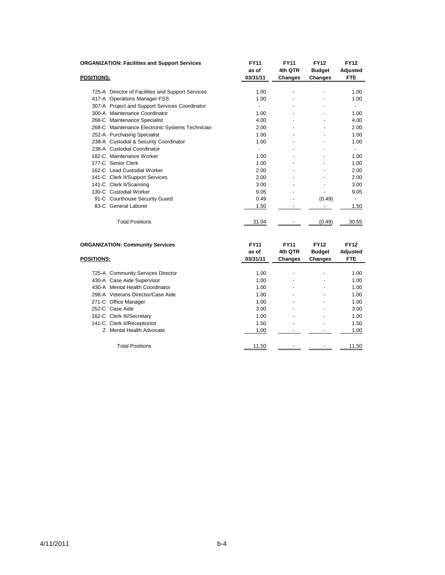| <b>ORGANIZATION: Facilities and Support Services</b> | <b>FY11</b>    | <b>FY11</b>    | <b>FY12</b>    | <b>FY12</b> |
|------------------------------------------------------|----------------|----------------|----------------|-------------|
|                                                      | as of          | 4th QTR        | <b>Budget</b>  | Adjusted    |
| <b>POSITIONS:</b>                                    | 03/31/11       | <b>Changes</b> | <b>Changes</b> | <b>FTE</b>  |
|                                                      |                |                |                |             |
| 725-A Director of Facilities and Support Services    | 1.00           |                |                | 1.00        |
| 417-A Operations Manager-FSS                         | 1.00           |                |                | 1.00        |
| 307-A Project and Support Services Coordinator       | $\overline{a}$ |                |                |             |
| 300-A Maintenance Coordinator                        | 1.00           |                |                | 1.00        |
| 268-C Maintenance Specialist                         | 4.00           |                |                | 4.00        |
| 268-C Maintenance Electronic Systems Technician      | 2.00           |                |                | 2.00        |
| 252-A Purchasing Specialist                          | 1.00           |                |                | 1.00        |
| 238-A Custodial & Security Coordinator               | 1.00           |                |                | 1.00        |
| 238-A Custodial Coordinator                          | $\blacksquare$ |                |                |             |
| 182-C Maintenance Worker                             | 1.00           |                |                | 1.00        |
| 177-C Senior Clerk                                   | 1.00           |                |                | 1.00        |
| 162-C Lead Custodial Worker                          | 2.00           |                |                | 2.00        |
| 141-C Clerk II/Support Services                      | 2.00           |                |                | 2.00        |
| 141-C Clerk II/Scanning                              | 3.00           |                |                | 3.00        |
| 130-C Custodial Worker                               | 9.05           |                |                | 9.05        |
| 91-C Courthouse Security Guard                       | 0.49           |                | (0.49)         |             |
| 83-C General Laborer                                 | 1.50           |                |                | 1.50        |
| <b>Total Positions</b>                               | 31.04          |                | (0.49)         | 30.55       |
| <b>ORGANIZATION: Community Services</b>              | <b>FY11</b>    | <b>FY11</b>    | <b>FY12</b>    | <b>FY12</b> |
|                                                      | as of          | 4th QTR        | <b>Budget</b>  | Adjusted    |
| <b>POSITIONS:</b>                                    | 03/31/11       | Changes        | <b>Changes</b> | <b>FTE</b>  |
|                                                      |                |                |                |             |
| 725-A Community Services Director                    | 1.00           |                |                | 1.00        |
| 430-A Case Aide Supervisor                           | 1.00           |                |                | 1.00        |
| 430-A Mental Health Coordinator                      | 1.00           |                |                | 1.00        |
| 298-A Veterans Director/Case Aide                    | 1.00           |                |                | 1.00        |
| 271-C Office Manager                                 | 1.00           |                |                | 1.00        |
| 252-C Case Aide                                      | 3.00           |                |                | 3.00        |
| 162-C Clerk III/Secretary                            | 1.00           |                |                | 1.00        |
| 141-C Clerk II/Receptionist                          | 1.50           |                |                | 1.50        |

Z Mental Health Advocate 2. 1.00 - 1.00 - 1.00 - 1.00

Total Positions 11.50 - 11.50 - 11.50 - 11.50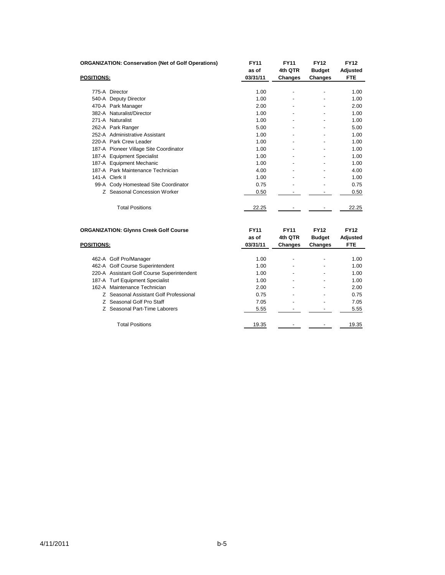|                   | <b>ORGANIZATION: Conservation (Net of Golf Operations)</b> | <b>FY11</b>       | <b>FY11</b> | <b>FY12</b>   | <b>FY12</b>            |
|-------------------|------------------------------------------------------------|-------------------|-------------|---------------|------------------------|
|                   |                                                            | as of<br>03/31/11 | 4th QTR     | <b>Budget</b> | Adjusted<br><b>FTE</b> |
| <b>POSITIONS:</b> |                                                            |                   | Changes     | Changes       |                        |
|                   | 775-A Director                                             | 1.00              |             |               | 1.00                   |
|                   | 540-A Deputy Director                                      | 1.00              |             |               | 1.00                   |
|                   | 470-A Park Manager                                         | 2.00              |             |               | 2.00                   |
|                   | 382-A Naturalist/Director                                  | 1.00              |             |               | 1.00                   |
|                   | 271-A Naturalist                                           | 1.00              |             |               | 1.00                   |
|                   | 262-A Park Ranger                                          | 5.00              |             |               | 5.00                   |
|                   | 252-A Administrative Assistant                             | 1.00              |             |               | 1.00                   |
|                   | 220-A Park Crew Leader                                     | 1.00              |             |               | 1.00                   |
|                   | 187-A Pioneer Village Site Coordinator                     | 1.00              |             |               | 1.00                   |
|                   | 187-A Equipment Specialist                                 | 1.00              |             |               | 1.00                   |
|                   | 187-A Equipment Mechanic                                   | 1.00              |             |               | 1.00                   |
|                   | 187-A Park Maintenance Technician                          | 4.00              |             |               | 4.00                   |
|                   | 141-A Clerk II                                             | 1.00              |             |               | 1.00                   |
|                   | 99-A Cody Homestead Site Coordinator                       | 0.75              |             |               | 0.75                   |
|                   | Z Seasonal Concession Worker                               | 0.50              |             |               | 0.50                   |
|                   | <b>Total Positions</b>                                     | 22.25             |             |               | 22.25                  |
|                   | <b>ORGANIZATION: Givnns Creek Golf Course</b>              | <b>FY11</b>       | <b>FY11</b> | <b>FY12</b>   | <b>FY12</b>            |

| <b>POSITIONS:</b> |                                            | as of<br>03/31/11 | 4th QTR<br><b>Changes</b> | <b>Budget</b><br>Changes | Adjusted<br><b>FTE</b> |
|-------------------|--------------------------------------------|-------------------|---------------------------|--------------------------|------------------------|
|                   |                                            |                   |                           |                          |                        |
|                   | 462-A Golf Pro/Manager                     | 1.00              | ۰                         | ٠                        | 1.00                   |
|                   | 462-A Golf Course Superintendent           | 1.00              |                           |                          | 1.00                   |
|                   | 220-A Assistant Golf Course Superintendent | 1.00              | $\overline{\phantom{a}}$  | ٠                        | 1.00                   |
|                   | 187-A Turf Equipment Specialist            | 1.00              | ۰                         |                          | 1.00                   |
|                   | 162-A Maintenance Technician               | 2.00              | $\blacksquare$            | ٠                        | 2.00                   |
|                   | Z Seasonal Assistant Golf Professional     | 0.75              | ۰                         |                          | 0.75                   |
|                   | Z Seasonal Golf Pro Staff                  | 7.05              | $\overline{\phantom{a}}$  |                          | 7.05                   |
|                   | Z Seasonal Part-Time Laborers              | 5.55              |                           |                          | 5.55                   |
|                   | <b>Total Positions</b>                     | 19.35             |                           |                          | 19.35                  |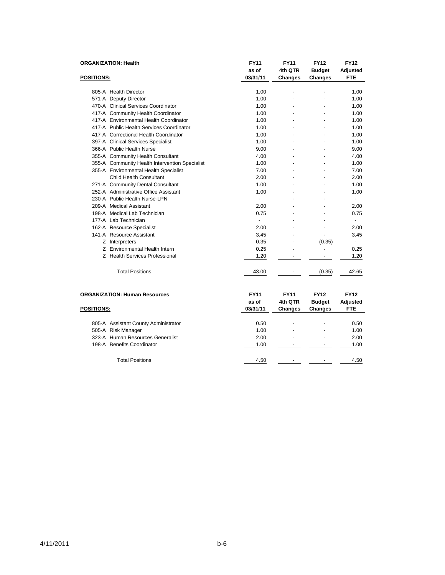|                   | <b>ORGANIZATION: Health</b>                    | <b>FY11</b><br>as of             | <b>FY11</b><br>4th QTR                   | <b>FY12</b><br><b>Budget</b>                   | <b>FY12</b><br>Adjusted               |
|-------------------|------------------------------------------------|----------------------------------|------------------------------------------|------------------------------------------------|---------------------------------------|
| <b>POSITIONS:</b> |                                                | 03/31/11                         | <b>Changes</b>                           | Changes                                        | <b>FTE</b>                            |
|                   | 805-A Health Director                          | 1.00                             | ÷,                                       |                                                | 1.00                                  |
|                   | 571-A Deputy Director                          | 1.00                             |                                          |                                                | 1.00                                  |
|                   | 470-A Clinical Services Coordinator            | 1.00                             |                                          |                                                | 1.00                                  |
|                   | 417-A Community Health Coordinator             | 1.00                             |                                          |                                                | 1.00                                  |
|                   | 417-A Environmental Health Coordinator         | 1.00                             |                                          |                                                | 1.00                                  |
|                   | 417-A Public Health Services Coordinator       | 1.00                             |                                          |                                                | 1.00                                  |
|                   | 417-A Correctional Health Coordinator          | 1.00                             |                                          |                                                | 1.00                                  |
|                   | 397-A Clinical Services Specialist             | 1.00                             |                                          |                                                | 1.00                                  |
|                   | 366-A Public Health Nurse                      | 9.00                             |                                          |                                                | 9.00                                  |
|                   | 355-A Community Health Consultant              | 4.00                             |                                          |                                                | 4.00                                  |
|                   | 355-A Community Health Intervention Specialist | 1.00                             |                                          |                                                | 1.00                                  |
|                   | 355-A Environmental Health Specialist          | 7.00                             |                                          |                                                | 7.00                                  |
|                   | Child Health Consultant                        | 2.00                             |                                          |                                                | 2.00                                  |
|                   | 271-A Community Dental Consultant              | 1.00                             |                                          |                                                | 1.00                                  |
|                   | 252-A Administrative Office Assistant          | 1.00                             | $\blacksquare$                           |                                                | 1.00                                  |
|                   | 230-A Public Health Nurse-LPN                  |                                  |                                          |                                                | $\overline{\phantom{a}}$              |
|                   | 209-A Medical Assistant                        | 2.00                             |                                          |                                                | 2.00                                  |
|                   | 198-A Medical Lab Technician                   | 0.75                             |                                          |                                                | 0.75                                  |
|                   | 177-A Lab Technician                           |                                  |                                          |                                                | $\overline{\phantom{a}}$              |
|                   | 162-A Resource Specialist                      | 2.00                             |                                          |                                                | 2.00                                  |
|                   | 141-A Resource Assistant                       | 3.45                             |                                          |                                                | 3.45                                  |
|                   | Z Interpreters                                 | 0.35                             |                                          | (0.35)                                         | $\overline{a}$                        |
|                   | Z Environmental Health Intern                  | 0.25                             |                                          |                                                | 0.25                                  |
|                   | Z Health Services Professional                 | 1.20                             |                                          |                                                | 1.20                                  |
|                   | <b>Total Positions</b>                         | 43.00                            |                                          | (0.35)                                         | 42.65                                 |
| <b>POSITIONS:</b> | <b>ORGANIZATION: Human Resources</b>           | <b>FY11</b><br>as of<br>03/31/11 | <b>FY11</b><br>4th QTR<br><b>Changes</b> | <b>FY12</b><br><b>Budget</b><br><b>Changes</b> | <b>FY12</b><br>Adjusted<br><b>FTE</b> |

| 805-A Assistant County Administrator | 0.50 | $\overline{\phantom{a}}$ | - | 0.50 |
|--------------------------------------|------|--------------------------|---|------|
| 505-A Risk Manager                   | 1.00 | $\overline{\phantom{a}}$ | - | 1.00 |
| 323-A Human Resources Generalist     | 2.00 | $\blacksquare$           |   | 2.00 |
| 198-A Benefits Coordinator           | 1.00 | $\blacksquare$           |   | 1.00 |
|                                      |      |                          |   |      |
| <b>Total Positions</b>               | 4.50 | -                        |   | 4.50 |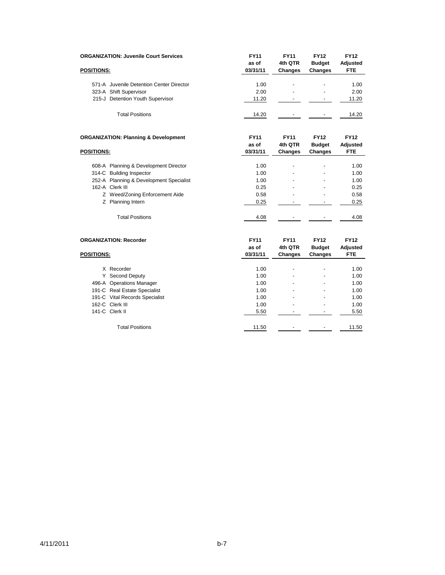| <b>ORGANIZATION: Juvenile Court Services</b>    | <b>FY11</b>       | <b>FY11</b>               | <b>FY12</b>                     | <b>FY12</b>                   |
|-------------------------------------------------|-------------------|---------------------------|---------------------------------|-------------------------------|
| <b>POSITIONS:</b>                               | as of<br>03/31/11 | 4th QTR<br><b>Changes</b> | <b>Budget</b><br><b>Changes</b> | <b>Adjusted</b><br><b>FTE</b> |
|                                                 |                   |                           |                                 |                               |
| 571-A Juvenile Detention Center Director        | 1.00              |                           |                                 | 1.00                          |
| 323-A Shift Supervisor                          | 2.00              |                           |                                 | 2.00                          |
| 215-J Detention Youth Supervisor                | 11.20             |                           |                                 | 11.20                         |
| <b>Total Positions</b>                          | 14.20             |                           |                                 | 14.20                         |
| <b>ORGANIZATION: Planning &amp; Development</b> | <b>FY11</b>       | <b>FY11</b>               | <b>FY12</b>                     | <b>FY12</b>                   |
|                                                 | as of<br>03/31/11 | 4th QTR                   | <b>Budget</b>                   | Adjusted<br><b>FTE</b>        |
| <b>POSITIONS:</b>                               |                   | <b>Changes</b>            | <b>Changes</b>                  |                               |
| 608-A Planning & Development Director           | 1.00              | $\overline{\phantom{a}}$  | $\overline{a}$                  | 1.00                          |
| 314-C Building Inspector                        | 1.00              |                           |                                 | 1.00                          |
| 252-A Planning & Development Specialist         | 1.00              |                           |                                 | 1.00                          |
| 162-A Clerk III                                 | 0.25              |                           |                                 | 0.25                          |
| Z Weed/Zoning Enforcement Aide                  | 0.58              |                           |                                 | 0.58                          |
| Z Planning Intern                               | 0.25              | $\overline{a}$            |                                 | 0.25                          |
| <b>Total Positions</b>                          | 4.08              |                           |                                 | 4.08                          |
| <b>ORGANIZATION: Recorder</b>                   | <b>FY11</b>       | <b>FY11</b>               | <b>FY12</b>                     | <b>FY12</b>                   |
|                                                 | as of             | 4th QTR                   | <b>Budget</b>                   | Adjusted                      |
| <b>POSITIONS:</b>                               | 03/31/11          | <b>Changes</b>            | <b>Changes</b>                  | FTE                           |
| X Recorder                                      | 1.00              |                           |                                 | 1.00                          |
| Y Second Deputy                                 | 1.00              |                           |                                 | 1.00                          |
| 496-A Operations Manager                        | 1.00              |                           |                                 | 1.00                          |
| 191-C Real Estate Specialist                    | 1.00              |                           |                                 | 1.00                          |
| 191-C Vital Records Specialist                  | 1.00              |                           |                                 | 1.00                          |
| 162-C Clerk III                                 | 1.00              |                           |                                 | 1.00                          |
| 141-C Clerk II                                  | 5.50              | $\overline{\phantom{a}}$  | $\blacksquare$                  | 5.50                          |
| <b>Total Positions</b>                          | 11.50             |                           |                                 | 11.50                         |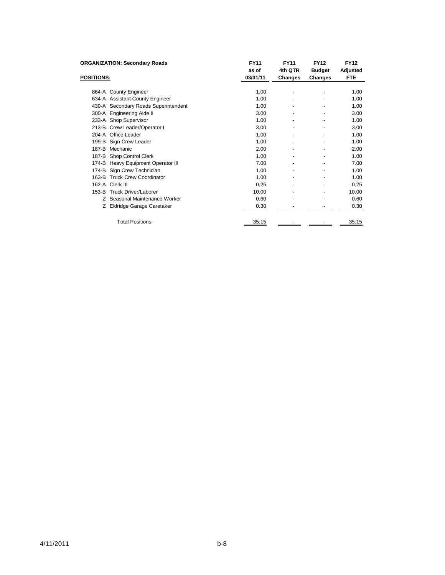|                   | <b>ORGANIZATION: Secondary Roads</b> | <b>FY11</b> | <b>FY11</b> | <b>FY12</b>   | <b>FY12</b> |
|-------------------|--------------------------------------|-------------|-------------|---------------|-------------|
|                   |                                      | as of       | 4th QTR     | <b>Budget</b> | Adjusted    |
| <b>POSITIONS:</b> |                                      | 03/31/11    | Changes     | Changes       | <b>FTE</b>  |
|                   |                                      |             |             |               |             |
|                   | 864-A County Engineer                | 1.00        |             |               | 1.00        |
|                   | 634-A Assistant County Engineer      | 1.00        |             |               | 1.00        |
|                   | 430-A Secondary Roads Superintendent | 1.00        |             |               | 1.00        |
|                   | 300-A Engineering Aide II            | 3.00        |             |               | 3.00        |
|                   | 233-A Shop Supervisor                | 1.00        |             |               | 1.00        |
|                   | 213-B Crew Leader/Operator I         | 3.00        |             |               | 3.00        |
|                   | 204-A Office Leader                  | 1.00        |             |               | 1.00        |
|                   | 199-B Sign Crew Leader               | 1.00        |             |               | 1.00        |
| 187-B             | Mechanic                             | 2.00        |             |               | 2.00        |
|                   | 187-B Shop Control Clerk             | 1.00        |             |               | 1.00        |
| 174-B             | Heavy Equipment Operator III         | 7.00        |             |               | 7.00        |
|                   | 174-B Sign Crew Technician           | 1.00        |             |               | 1.00        |
| 163-B             | <b>Truck Crew Coordinator</b>        | 1.00        |             |               | 1.00        |
|                   | 162-A Clerk III                      | 0.25        |             |               | 0.25        |
|                   | 153-B Truck Driver/Laborer           | 10.00       |             |               | 10.00       |
| Z.                | Seasonal Maintenance Worker          | 0.60        |             | ٠             | 0.60        |
| Z.                | Eldridge Garage Caretaker            | 0.30        |             |               | 0.30        |
|                   | <b>Total Positions</b>               | 35.15       |             |               | 35.15       |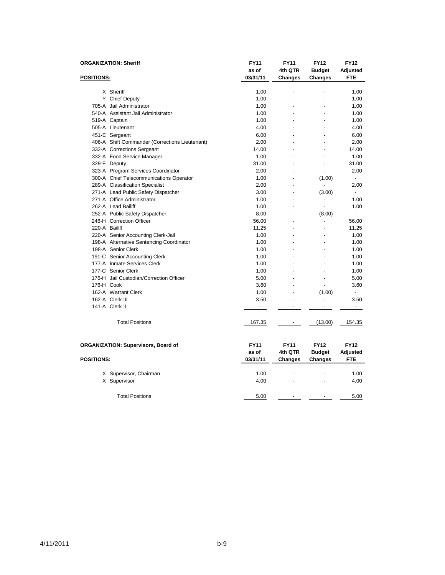|                   | <b>ORGANIZATION: Sheriff</b>                   | <b>FY11</b>              | <b>FY11</b>              | <b>FY12</b>                  | <b>FY12</b>              |
|-------------------|------------------------------------------------|--------------------------|--------------------------|------------------------------|--------------------------|
|                   |                                                | as of                    | 4th QTR                  | <b>Budget</b>                | Adjusted                 |
| <b>POSITIONS:</b> |                                                | 03/31/11                 | Changes                  | <b>Changes</b>               | <b>FTE</b>               |
|                   |                                                |                          |                          |                              |                          |
|                   | X Sheriff                                      | 1.00                     | ÷,                       |                              | 1.00                     |
|                   | Y Chief Deputy                                 | 1.00                     |                          |                              | 1.00                     |
|                   | 705-A Jail Administrator                       | 1.00                     |                          |                              | 1.00                     |
|                   | 540-A Assistant Jail Administrator             | 1.00                     |                          |                              | 1.00                     |
|                   | 519-A Captain                                  | 1.00                     |                          |                              | 1.00                     |
|                   | 505-A Lieutenant                               | 4.00                     |                          |                              | 4.00                     |
|                   | 451-E Sergeant                                 | 6.00                     |                          |                              | 6.00                     |
|                   | 406-A Shift Commander (Corrections Lieutenant) | 2.00                     |                          |                              | 2.00                     |
|                   | 332-A Corrections Sergeant                     | 14.00                    |                          |                              | 14.00                    |
|                   | 332-A Food Service Manager                     | 1.00                     |                          |                              | 1.00                     |
|                   | 329-E Deputy                                   | 31.00                    |                          |                              | 31.00                    |
|                   | 323-A Program Services Coordinator             | 2.00                     |                          | $\overline{a}$               | 2.00                     |
|                   | 300-A Chief Telecommunications Operator        | 1.00                     |                          | (1.00)                       |                          |
|                   | 289-A Classification Specialist                | 2.00                     | $\overline{a}$           |                              | 2.00                     |
|                   | 271-A Lead Public Safety Dispatcher            | 3.00                     | $\overline{a}$           | (3.00)                       | $\overline{\phantom{0}}$ |
|                   | 271-A Office Administrator                     | 1.00                     | ÷,                       | $\qquad \qquad \blacksquare$ | 1.00                     |
|                   | 262-A Lead Bailiff                             | 1.00                     |                          |                              | 1.00                     |
|                   | 252-A Public Safety Dispatcher                 | 8.00                     |                          | (8.00)                       | $\overline{a}$           |
|                   | 246-H Correction Officer                       | 56.00                    |                          | $\overline{a}$               | 56.00                    |
| 220-A Bailiff     |                                                | 11.25                    |                          |                              | 11.25                    |
|                   | 220-A Senior Accounting Clerk-Jail             | 1.00                     |                          |                              | 1.00                     |
|                   | 198-A Alternative Sentencing Coordinator       | 1.00                     |                          |                              | 1.00                     |
|                   | 198-A Senior Clerk                             | 1.00                     |                          | $\overline{a}$               | 1.00                     |
|                   | 191-C Senior Accounting Clerk                  | 1.00                     |                          |                              | 1.00                     |
|                   | 177-A Inmate Services Clerk                    | 1.00                     |                          |                              | 1.00                     |
|                   | 177-C Senior Clerk                             | 1.00                     |                          |                              | 1.00                     |
|                   | 176-H Jail Custodian/Correction Officer        | 5.00                     |                          |                              | 5.00                     |
| 176-H Cook        |                                                | 3.60                     |                          |                              | 3.60                     |
|                   | 162-A Warrant Clerk                            | 1.00                     |                          | (1.00)                       | $\overline{a}$           |
|                   | 162-A Clerk III                                | 3.50                     | $\overline{a}$           | $\overline{a}$               | 3.50                     |
|                   | 141-A Clerk II                                 | $\overline{\phantom{a}}$ | $\overline{a}$           | $\overline{a}$               | $\overline{\phantom{a}}$ |
|                   |                                                |                          |                          |                              |                          |
|                   | <b>Total Positions</b>                         | 167.35                   | $\overline{\phantom{a}}$ | (13.00)                      | 154.35                   |
|                   |                                                |                          |                          |                              |                          |
|                   | <b>ORGANIZATION: Supervisors, Board of</b>     | <b>FY11</b>              | <b>FY11</b>              | <b>FY12</b>                  | <b>FY12</b>              |
|                   |                                                | as of                    | 4th QTR                  | <b>Budget</b>                | Adjusted                 |
| <b>POSITIONS:</b> |                                                | 03/31/11                 | Changes                  | <b>Changes</b>               | <b>FTE</b>               |
|                   |                                                |                          |                          |                              |                          |
|                   | X Supervisor, Chairman                         | 1.00                     |                          |                              | 1.00                     |
|                   | X Supervisor                                   | 4.00                     |                          |                              | 4.00                     |
|                   |                                                |                          |                          |                              |                          |
|                   | <b>Total Positions</b>                         | 5.00                     |                          |                              | 5.00                     |
|                   |                                                |                          |                          |                              |                          |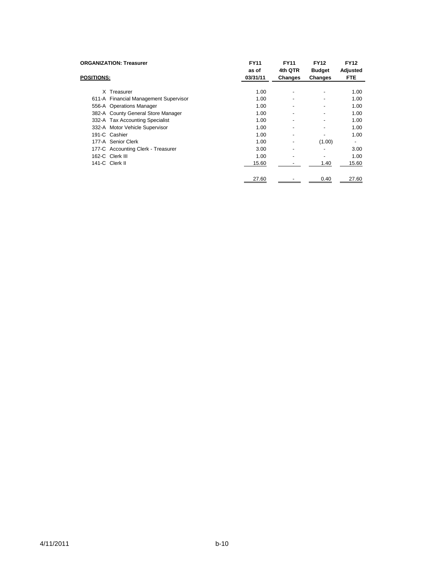| <b>ORGANIZATION: Treasurer</b><br><b>POSITIONS:</b> | <b>FY11</b><br>as of<br>03/31/11 | <b>FY11</b><br>4th QTR<br>Changes | <b>FY12</b><br><b>Budget</b><br>Changes | <b>FY12</b><br>Adjusted<br><b>FTE</b> |
|-----------------------------------------------------|----------------------------------|-----------------------------------|-----------------------------------------|---------------------------------------|
|                                                     |                                  |                                   |                                         |                                       |
| X Treasurer                                         | 1.00                             | $\overline{\phantom{a}}$          | -                                       | 1.00                                  |
| 611-A Financial Management Supervisor               | 1.00                             | $\overline{\phantom{a}}$          | -                                       | 1.00                                  |
| 556-A Operations Manager                            | 1.00                             |                                   | -                                       | 1.00                                  |
| 382-A County General Store Manager                  | 1.00                             | $\overline{\phantom{a}}$          | -                                       | 1.00                                  |
| 332-A Tax Accounting Specialist                     | 1.00                             | ٠                                 | $\blacksquare$                          | 1.00                                  |
| 332-A Motor Vehicle Supervisor                      | 1.00                             | $\blacksquare$                    | $\blacksquare$                          | 1.00                                  |
| 191-C Cashier                                       | 1.00                             | $\overline{\phantom{a}}$          | -                                       | 1.00                                  |
| 177-A Senior Clerk                                  | 1.00                             | $\overline{\phantom{a}}$          | (1.00)                                  |                                       |
| 177-C Accounting Clerk - Treasurer                  | 3.00                             | $\blacksquare$                    | $\blacksquare$                          | 3.00                                  |
| 162-C Clerk III                                     | 1.00                             |                                   | -                                       | 1.00                                  |
| 141-C Clerk II                                      | 15.60                            |                                   | 1.40                                    | 15.60                                 |
|                                                     | 27.60                            |                                   | 0.40                                    | 27.60                                 |